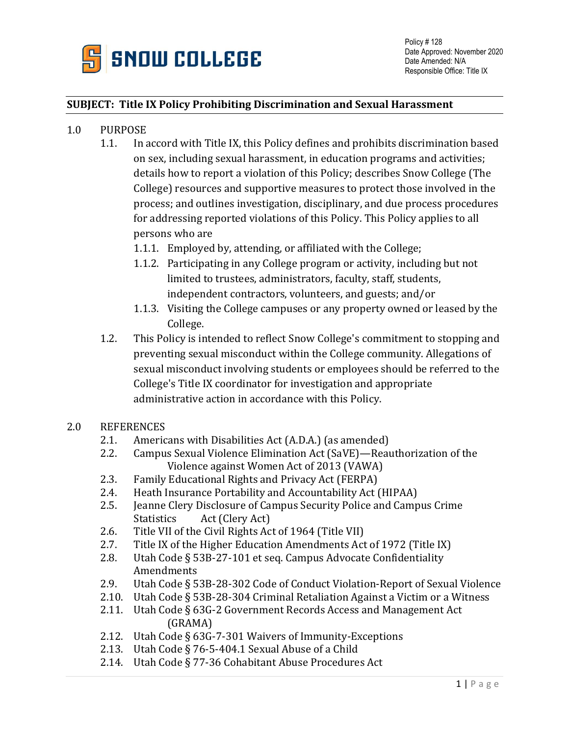

#### **SUBJECT: Title IX Policy Prohibiting Discrimination and Sexual Harassment**

- 1.0 PURPOSE
	- 1.1. In accord with Title IX, this Policy defines and prohibits discrimination based on sex, including sexual harassment, in education programs and activities; details how to report a violation of this Policy; describes Snow College (The College) resources and supportive measures to protect those involved in the process; and outlines investigation, disciplinary, and due process procedures for addressing reported violations of this Policy. This Policy applies to all persons who are
		- 1.1.1. Employed by, attending, or affiliated with the College;
		- 1.1.2. Participating in any College program or activity, including but not limited to trustees, administrators, faculty, staff, students, independent contractors, volunteers, and guests; and/or
		- 1.1.3. Visiting the College campuses or any property owned or leased by the College.
	- 1.2. This Policy is intended to reflect Snow College's commitment to stopping and preventing sexual misconduct within the College community. Allegations of sexual misconduct involving students or employees should be referred to the College's Title IX coordinator for investigation and appropriate administrative action in accordance with this Policy.
- 2.0 REFERENCES
	- 2.1. Americans with Disabilities Act (A.D.A.) (as amended)
	- 2.2. Campus Sexual Violence Elimination Act (SaVE)—Reauthorization of the Violence against Women Act of 2013 (VAWA)
	- 2.3. Family Educational Rights and Privacy Act (FERPA)
	- 2.4. Heath Insurance Portability and Accountability Act (HIPAA)
	- 2.5. Jeanne Clery Disclosure of Campus Security Police and Campus Crime Statistics Act (Clery Act)
	- 2.6. Title VII of the Civil Rights Act of 1964 (Title VII)
	- 2.7. Title IX of the Higher Education Amendments Act of 1972 (Title IX)
	- 2.8. Utah Code § 53B-27-101 et seq. Campus Advocate Confidentiality Amendments
	- 2.9. Utah Code § 53B-28-302 Code of Conduct Violation-Report of Sexual Violence
	- 2.10. Utah Code § 53B-28-304 Criminal Retaliation Against a Victim or a Witness
	- 2.11. Utah Code § 63G-2 Government Records Access and Management Act (GRAMA)
	- 2.12. Utah Code § 63G-7-301 Waivers of Immunity-Exceptions
	- 2.13. Utah Code § 76-5-404.1 Sexual Abuse of a Child
	- 2.14. Utah Code § 77-36 Cohabitant Abuse Procedures Act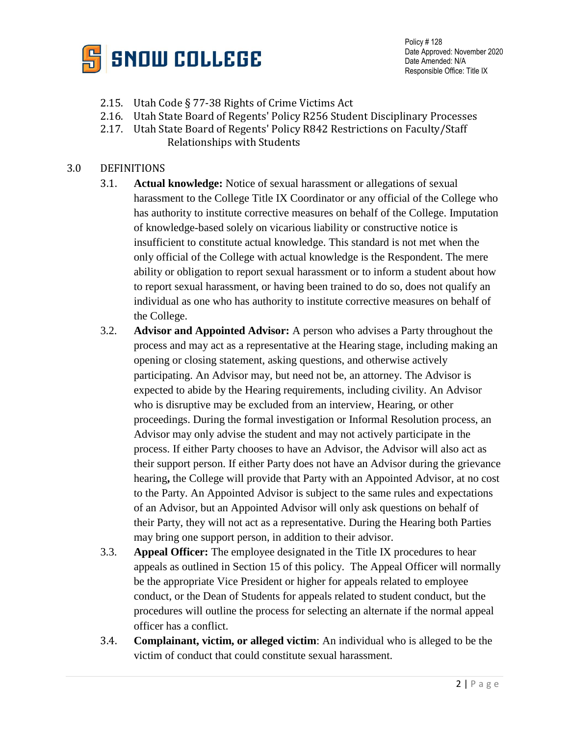

Policy # 128 Date Approved: November 2020 Date Amended: N/A Responsible Office: Title IX

- 2.15. Utah Code § 77-38 Rights of Crime Victims Act
- 2.16. Utah State Board of Regents' Policy R256 Student Disciplinary Processes
- 2.17. Utah State Board of Regents' Policy R842 Restrictions on Faculty/Staff Relationships with Students

#### 3.0 DEFINITIONS

- 3.1. **Actual knowledge:** Notice of sexual harassment or allegations of sexual harassment to the College Title IX Coordinator or any official of the College who has authority to institute corrective measures on behalf of the College. Imputation of knowledge-based solely on vicarious liability or constructive notice is insufficient to constitute actual knowledge. This standard is not met when the only official of the College with actual knowledge is the Respondent. The mere ability or obligation to report sexual harassment or to inform a student about how to report sexual harassment, or having been trained to do so, does not qualify an individual as one who has authority to institute corrective measures on behalf of the College.
- 3.2. **Advisor and Appointed Advisor:** A person who advises a Party throughout the process and may act as a representative at the Hearing stage, including making an opening or closing statement, asking questions, and otherwise actively participating. An Advisor may, but need not be, an attorney. The Advisor is expected to abide by the Hearing requirements, including civility. An Advisor who is disruptive may be excluded from an interview, Hearing, or other proceedings. During the formal investigation or Informal Resolution process, an Advisor may only advise the student and may not actively participate in the process. If either Party chooses to have an Advisor, the Advisor will also act as their support person. If either Party does not have an Advisor during the grievance hearing**,** the College will provide that Party with an Appointed Advisor, at no cost to the Party. An Appointed Advisor is subject to the same rules and expectations of an Advisor, but an Appointed Advisor will only ask questions on behalf of their Party, they will not act as a representative. During the Hearing both Parties may bring one support person, in addition to their advisor.
- 3.3. **Appeal Officer:** The employee designated in the Title IX procedures to hear appeals as outlined in Section 15 of this policy. The Appeal Officer will normally be the appropriate Vice President or higher for appeals related to employee conduct, or the Dean of Students for appeals related to student conduct, but the procedures will outline the process for selecting an alternate if the normal appeal officer has a conflict.
- 3.4. **Complainant, victim, or alleged victim**: An individual who is alleged to be the victim of conduct that could constitute sexual harassment.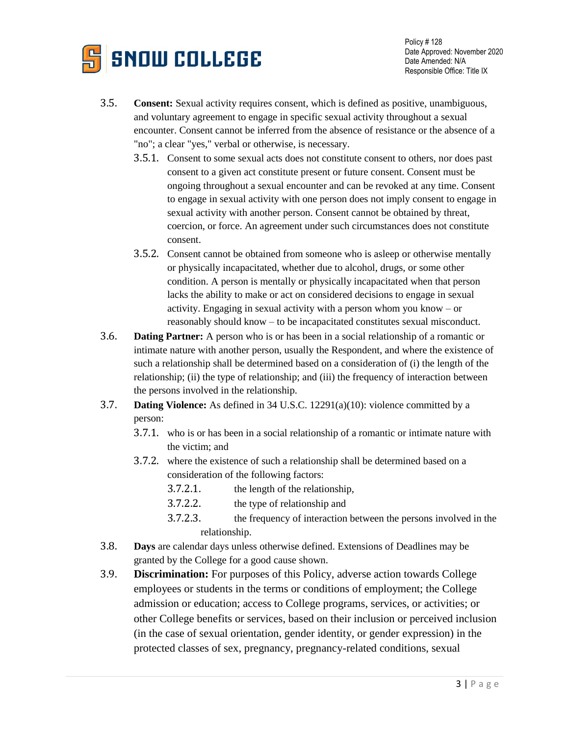

- 3.5. **Consent:** Sexual activity requires consent, which is defined as positive, unambiguous, and voluntary agreement to engage in specific sexual activity throughout a sexual encounter. Consent cannot be inferred from the absence of resistance or the absence of a "no"; a clear "yes," verbal or otherwise, is necessary.
	- 3.5.1. Consent to some sexual acts does not constitute consent to others, nor does past consent to a given act constitute present or future consent. Consent must be ongoing throughout a sexual encounter and can be revoked at any time. Consent to engage in sexual activity with one person does not imply consent to engage in sexual activity with another person. Consent cannot be obtained by threat, coercion, or force. An agreement under such circumstances does not constitute consent.
	- 3.5.2. Consent cannot be obtained from someone who is asleep or otherwise mentally or physically incapacitated, whether due to alcohol, drugs, or some other condition. A person is mentally or physically incapacitated when that person lacks the ability to make or act on considered decisions to engage in sexual activity. Engaging in sexual activity with a person whom you know – or reasonably should know – to be incapacitated constitutes sexual misconduct.
- 3.6. **Dating Partner:** A person who is or has been in a social relationship of a romantic or intimate nature with another person, usually the Respondent, and where the existence of such a relationship shall be determined based on a consideration of (i) the length of the relationship; (ii) the type of relationship; and (iii) the frequency of interaction between the persons involved in the relationship.
- 3.7. **Dating Violence:** As defined in 34 U.S.C. 12291(a)(10): violence committed by a person:
	- 3.7.1. who is or has been in a social relationship of a romantic or intimate nature with the victim; and
	- 3.7.2. where the existence of such a relationship shall be determined based on a consideration of the following factors:
		- 3.7.2.1. the length of the relationship,
		- 3.7.2.2. the type of relationship and
		- 3.7.2.3. the frequency of interaction between the persons involved in the relationship.
- 3.8. **Days** are calendar days unless otherwise defined. Extensions of Deadlines may be granted by the College for a good cause shown.
- 3.9. **Discrimination:** For purposes of this Policy, adverse action towards College employees or students in the terms or conditions of employment; the College admission or education; access to College programs, services, or activities; or other College benefits or services, based on their inclusion or perceived inclusion (in the case of sexual orientation, gender identity, or gender expression) in the protected classes of sex, pregnancy, pregnancy-related conditions, sexual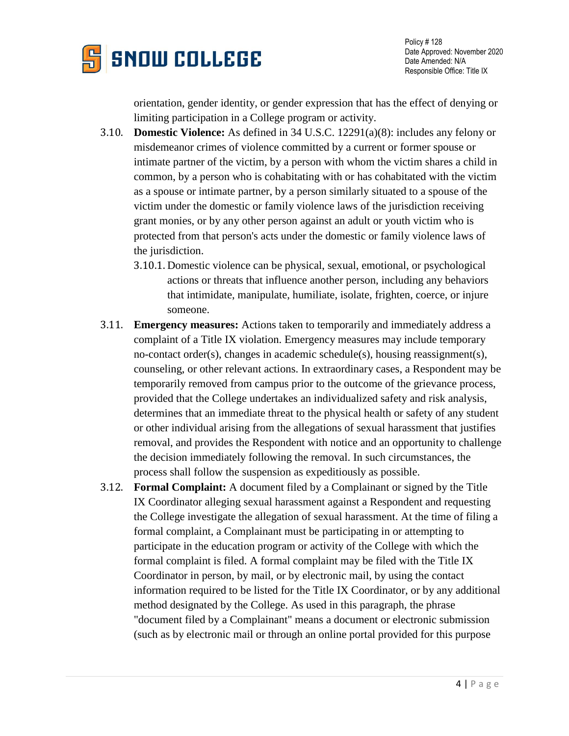

orientation, gender identity, or gender expression that has the effect of denying or limiting participation in a College program or activity.

- 3.10. **Domestic Violence:** As defined in 34 U.S.C. 12291(a)(8): includes any felony or misdemeanor crimes of violence committed by a current or former spouse or intimate partner of the victim, by a person with whom the victim shares a child in common, by a person who is cohabitating with or has cohabitated with the victim as a spouse or intimate partner, by a person similarly situated to a spouse of the victim under the domestic or family violence laws of the jurisdiction receiving grant monies, or by any other person against an adult or youth victim who is protected from that person's acts under the domestic or family violence laws of the jurisdiction.
	- 3.10.1. Domestic violence can be physical, sexual, emotional, or psychological actions or threats that influence another person, including any behaviors that intimidate, manipulate, humiliate, isolate, frighten, coerce, or injure someone.
- 3.11. **Emergency measures:** Actions taken to temporarily and immediately address a complaint of a Title IX violation. Emergency measures may include temporary no-contact order(s), changes in academic schedule(s), housing reassignment(s), counseling, or other relevant actions. In extraordinary cases, a Respondent may be temporarily removed from campus prior to the outcome of the grievance process, provided that the College undertakes an individualized safety and risk analysis, determines that an immediate threat to the physical health or safety of any student or other individual arising from the allegations of sexual harassment that justifies removal, and provides the Respondent with notice and an opportunity to challenge the decision immediately following the removal. In such circumstances, the process shall follow the suspension as expeditiously as possible.
- 3.12. **Formal Complaint:** A document filed by a Complainant or signed by the Title IX Coordinator alleging sexual harassment against a Respondent and requesting the College investigate the allegation of sexual harassment. At the time of filing a formal complaint, a Complainant must be participating in or attempting to participate in the education program or activity of the College with which the formal complaint is filed. A formal complaint may be filed with the Title IX Coordinator in person, by mail, or by electronic mail, by using the contact information required to be listed for the Title IX Coordinator, or by any additional method designated by the College. As used in this paragraph, the phrase "document filed by a Complainant" means a document or electronic submission (such as by electronic mail or through an online portal provided for this purpose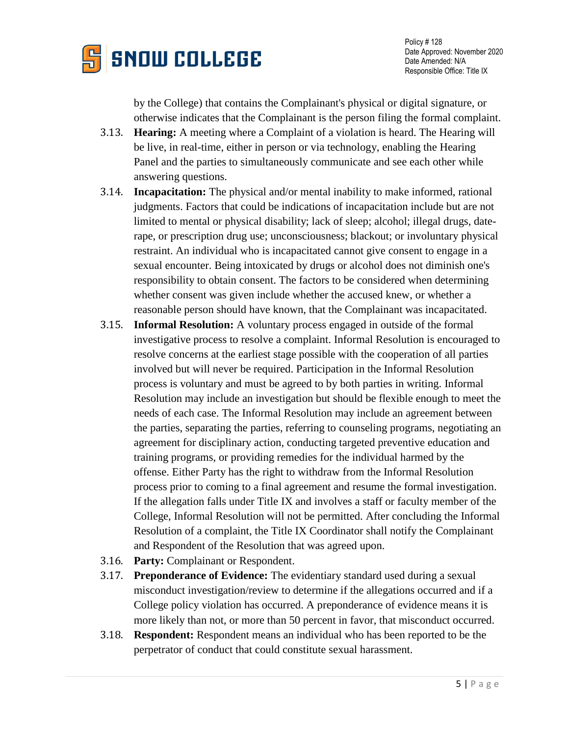

by the College) that contains the Complainant's physical or digital signature, or otherwise indicates that the Complainant is the person filing the formal complaint.

- 3.13. **Hearing:** A meeting where a Complaint of a violation is heard. The Hearing will be live, in real-time, either in person or via technology, enabling the Hearing Panel and the parties to simultaneously communicate and see each other while answering questions.
- 3.14. **Incapacitation:** The physical and/or mental inability to make informed, rational judgments. Factors that could be indications of incapacitation include but are not limited to mental or physical disability; lack of sleep; alcohol; illegal drugs, daterape, or prescription drug use; unconsciousness; blackout; or involuntary physical restraint. An individual who is incapacitated cannot give consent to engage in a sexual encounter. Being intoxicated by drugs or alcohol does not diminish one's responsibility to obtain consent. The factors to be considered when determining whether consent was given include whether the accused knew, or whether a reasonable person should have known, that the Complainant was incapacitated.
- 3.15. **Informal Resolution:** A voluntary process engaged in outside of the formal investigative process to resolve a complaint. Informal Resolution is encouraged to resolve concerns at the earliest stage possible with the cooperation of all parties involved but will never be required. Participation in the Informal Resolution process is voluntary and must be agreed to by both parties in writing. Informal Resolution may include an investigation but should be flexible enough to meet the needs of each case. The Informal Resolution may include an agreement between the parties, separating the parties, referring to counseling programs, negotiating an agreement for disciplinary action, conducting targeted preventive education and training programs, or providing remedies for the individual harmed by the offense. Either Party has the right to withdraw from the Informal Resolution process prior to coming to a final agreement and resume the formal investigation. If the allegation falls under Title IX and involves a staff or faculty member of the College, Informal Resolution will not be permitted. After concluding the Informal Resolution of a complaint, the Title IX Coordinator shall notify the Complainant and Respondent of the Resolution that was agreed upon.
- 3.16. **Party:** Complainant or Respondent.
- 3.17. **Preponderance of Evidence:** The evidentiary standard used during a sexual misconduct investigation/review to determine if the allegations occurred and if a College policy violation has occurred. A preponderance of evidence means it is more likely than not, or more than 50 percent in favor, that misconduct occurred.
- 3.18. **Respondent:** Respondent means an individual who has been reported to be the perpetrator of conduct that could constitute sexual harassment.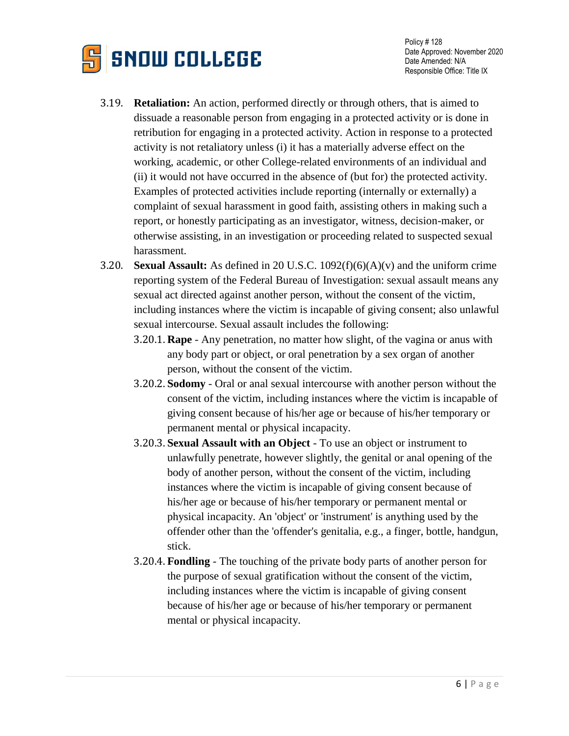

- 3.19. **Retaliation:** An action, performed directly or through others, that is aimed to dissuade a reasonable person from engaging in a protected activity or is done in retribution for engaging in a protected activity. Action in response to a protected activity is not retaliatory unless (i) it has a materially adverse effect on the working, academic, or other College-related environments of an individual and (ii) it would not have occurred in the absence of (but for) the protected activity. Examples of protected activities include reporting (internally or externally) a complaint of sexual harassment in good faith, assisting others in making such a report, or honestly participating as an investigator, witness, decision-maker, or otherwise assisting, in an investigation or proceeding related to suspected sexual harassment.
- 3.20. **Sexual Assault:** As defined in 20 U.S.C. 1092(f)(6)(A)(v) and the uniform crime reporting system of the Federal Bureau of Investigation: sexual assault means any sexual act directed against another person, without the consent of the victim, including instances where the victim is incapable of giving consent; also unlawful sexual intercourse. Sexual assault includes the following:
	- 3.20.1. **Rape** Any penetration, no matter how slight, of the vagina or anus with any body part or object, or oral penetration by a sex organ of another person, without the consent of the victim.
	- 3.20.2. **Sodomy** Oral or anal sexual intercourse with another person without the consent of the victim, including instances where the victim is incapable of giving consent because of his/her age or because of his/her temporary or permanent mental or physical incapacity.
	- 3.20.3. **Sexual Assault with an Object** To use an object or instrument to unlawfully penetrate, however slightly, the genital or anal opening of the body of another person, without the consent of the victim, including instances where the victim is incapable of giving consent because of his/her age or because of his/her temporary or permanent mental or physical incapacity. An 'object' or 'instrument' is anything used by the offender other than the 'offender's genitalia, e.g., a finger, bottle, handgun, stick.
	- 3.20.4. **Fondling** The touching of the private body parts of another person for the purpose of sexual gratification without the consent of the victim, including instances where the victim is incapable of giving consent because of his/her age or because of his/her temporary or permanent mental or physical incapacity.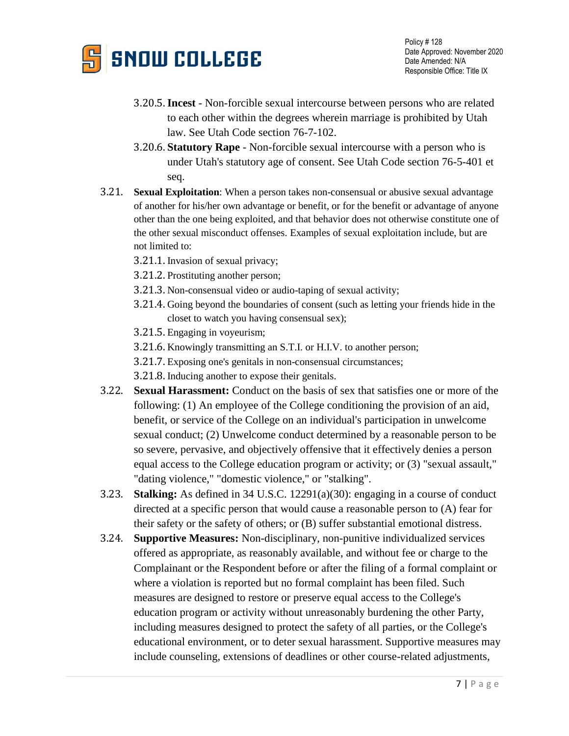

- 3.20.5.**Incest** Non-forcible sexual intercourse between persons who are related to each other within the degrees wherein marriage is prohibited by Utah law. See Utah Code section 76-7-102.
- 3.20.6. **Statutory Rape** Non-forcible sexual intercourse with a person who is under Utah's statutory age of consent. See Utah Code section 76-5-401 et seq.
- 3.21. **Sexual Exploitation**: When a person takes non-consensual or abusive sexual advantage of another for his/her own advantage or benefit, or for the benefit or advantage of anyone other than the one being exploited, and that behavior does not otherwise constitute one of the other sexual misconduct offenses. Examples of sexual exploitation include, but are not limited to:
	- 3.21.1. Invasion of sexual privacy;
	- 3.21.2. Prostituting another person;
	- 3.21.3. Non-consensual video or audio-taping of sexual activity;
	- 3.21.4. Going beyond the boundaries of consent (such as letting your friends hide in the closet to watch you having consensual sex);
	- 3.21.5. Engaging in voyeurism;
	- 3.21.6. Knowingly transmitting an S.T.I. or H.I.V. to another person;
	- 3.21.7. Exposing one's genitals in non-consensual circumstances;
	- 3.21.8. Inducing another to expose their genitals.
- 3.22. **Sexual Harassment:** Conduct on the basis of sex that satisfies one or more of the following: (1) An employee of the College conditioning the provision of an aid, benefit, or service of the College on an individual's participation in unwelcome sexual conduct; (2) Unwelcome conduct determined by a reasonable person to be so severe, pervasive, and objectively offensive that it effectively denies a person equal access to the College education program or activity; or (3) "sexual assault," "dating violence," "domestic violence," or "stalking".
- 3.23. **Stalking:** As defined in 34 U.S.C. 12291(a)(30): engaging in a course of conduct directed at a specific person that would cause a reasonable person to (A) fear for their safety or the safety of others; or (B) suffer substantial emotional distress.
- 3.24. **Supportive Measures:** Non-disciplinary, non-punitive individualized services offered as appropriate, as reasonably available, and without fee or charge to the Complainant or the Respondent before or after the filing of a formal complaint or where a violation is reported but no formal complaint has been filed. Such measures are designed to restore or preserve equal access to the College's education program or activity without unreasonably burdening the other Party, including measures designed to protect the safety of all parties, or the College's educational environment, or to deter sexual harassment. Supportive measures may include counseling, extensions of deadlines or other course-related adjustments,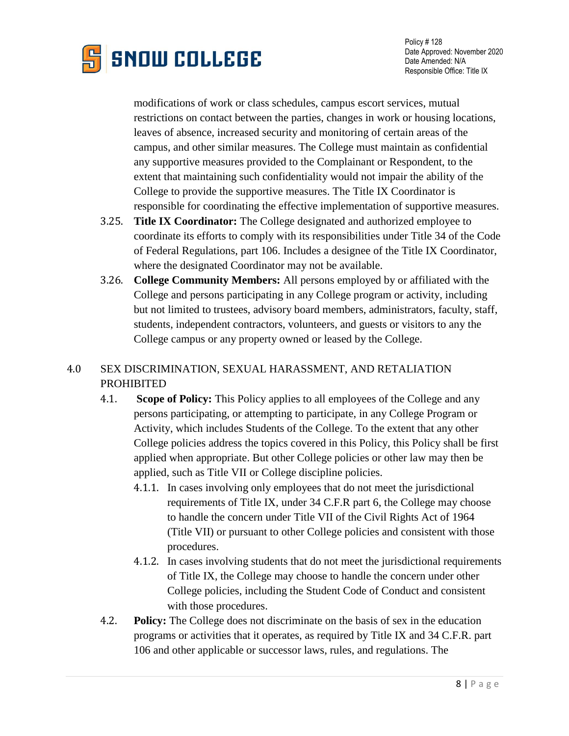

modifications of work or class schedules, campus escort services, mutual restrictions on contact between the parties, changes in work or housing locations, leaves of absence, increased security and monitoring of certain areas of the campus, and other similar measures. The College must maintain as confidential any supportive measures provided to the Complainant or Respondent, to the extent that maintaining such confidentiality would not impair the ability of the College to provide the supportive measures. The Title IX Coordinator is responsible for coordinating the effective implementation of supportive measures.

- 3.25. **Title IX Coordinator:** The College designated and authorized employee to coordinate its efforts to comply with its responsibilities under Title 34 of the Code of Federal Regulations, part 106. Includes a designee of the Title IX Coordinator, where the designated Coordinator may not be available.
- 3.26. **College Community Members:** All persons employed by or affiliated with the College and persons participating in any College program or activity, including but not limited to trustees, advisory board members, administrators, faculty, staff, students, independent contractors, volunteers, and guests or visitors to any the College campus or any property owned or leased by the College.

# 4.0 SEX DISCRIMINATION, SEXUAL HARASSMENT, AND RETALIATION PROHIBITED

- 4.1. **Scope of Policy:** This Policy applies to all employees of the College and any persons participating, or attempting to participate, in any College Program or Activity, which includes Students of the College. To the extent that any other College policies address the topics covered in this Policy, this Policy shall be first applied when appropriate. But other College policies or other law may then be applied, such as Title VII or College discipline policies.
	- 4.1.1. In cases involving only employees that do not meet the jurisdictional requirements of Title IX, under 34 C.F.R part 6, the College may choose to handle the concern under Title VII of the Civil Rights Act of 1964 (Title VII) or pursuant to other College policies and consistent with those procedures.
	- 4.1.2. In cases involving students that do not meet the jurisdictional requirements of Title IX, the College may choose to handle the concern under other College policies, including the Student Code of Conduct and consistent with those procedures.
- 4.2. **Policy:** The College does not discriminate on the basis of sex in the education programs or activities that it operates, as required by Title IX and 34 C.F.R. part 106 and other applicable or successor laws, rules, and regulations. The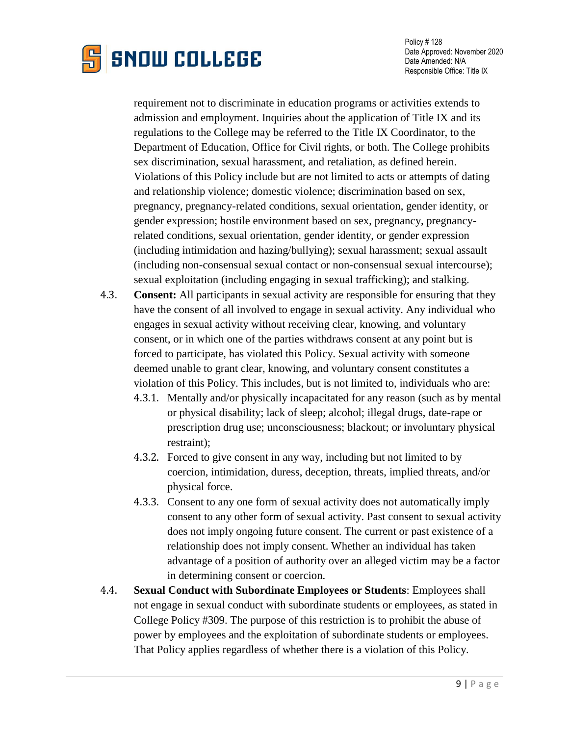

requirement not to discriminate in education programs or activities extends to admission and employment. Inquiries about the application of Title IX and its regulations to the College may be referred to the Title IX Coordinator, to the Department of Education, Office for Civil rights, or both. The College prohibits sex discrimination, sexual harassment, and retaliation, as defined herein. Violations of this Policy include but are not limited to acts or attempts of dating and relationship violence; domestic violence; discrimination based on sex, pregnancy, pregnancy-related conditions, sexual orientation, gender identity, or gender expression; hostile environment based on sex, pregnancy, pregnancyrelated conditions, sexual orientation, gender identity, or gender expression (including intimidation and hazing/bullying); sexual harassment; sexual assault (including non-consensual sexual contact or non-consensual sexual intercourse); sexual exploitation (including engaging in sexual trafficking); and stalking.

- 4.3. **Consent:** All participants in sexual activity are responsible for ensuring that they have the consent of all involved to engage in sexual activity. Any individual who engages in sexual activity without receiving clear, knowing, and voluntary consent, or in which one of the parties withdraws consent at any point but is forced to participate, has violated this Policy. Sexual activity with someone deemed unable to grant clear, knowing, and voluntary consent constitutes a violation of this Policy. This includes, but is not limited to, individuals who are:
	- 4.3.1. Mentally and/or physically incapacitated for any reason (such as by mental or physical disability; lack of sleep; alcohol; illegal drugs, date-rape or prescription drug use; unconsciousness; blackout; or involuntary physical restraint);
	- 4.3.2. Forced to give consent in any way, including but not limited to by coercion, intimidation, duress, deception, threats, implied threats, and/or physical force.
	- 4.3.3. Consent to any one form of sexual activity does not automatically imply consent to any other form of sexual activity. Past consent to sexual activity does not imply ongoing future consent. The current or past existence of a relationship does not imply consent. Whether an individual has taken advantage of a position of authority over an alleged victim may be a factor in determining consent or coercion.
- 4.4. **Sexual Conduct with Subordinate Employees or Students**: Employees shall not engage in sexual conduct with subordinate students or employees, as stated in College Policy #309. The purpose of this restriction is to prohibit the abuse of power by employees and the exploitation of subordinate students or employees. That Policy applies regardless of whether there is a violation of this Policy.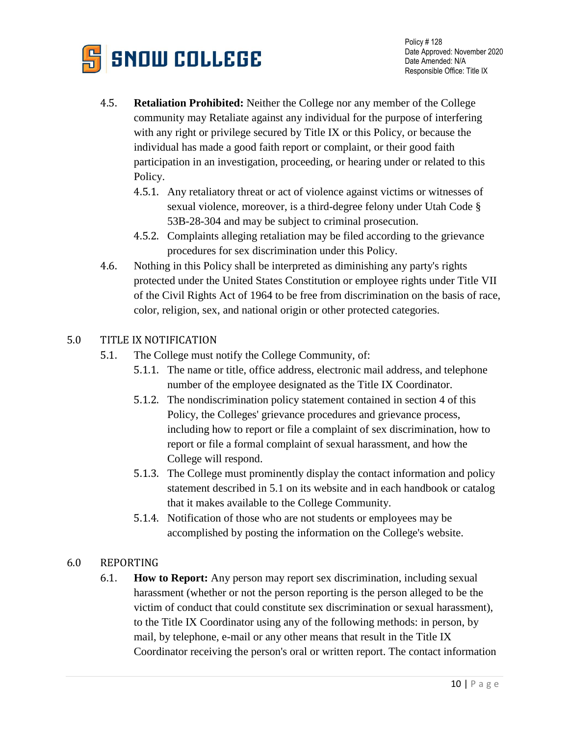

- 4.5. **Retaliation Prohibited:** Neither the College nor any member of the College community may Retaliate against any individual for the purpose of interfering with any right or privilege secured by Title IX or this Policy, or because the individual has made a good faith report or complaint, or their good faith participation in an investigation, proceeding, or hearing under or related to this Policy.
	- 4.5.1. Any retaliatory threat or act of violence against victims or witnesses of sexual violence, moreover, is a third-degree felony under Utah Code § 53B-28-304 and may be subject to criminal prosecution.
	- 4.5.2. Complaints alleging retaliation may be filed according to the grievance procedures for sex discrimination under this Policy.
- 4.6. Nothing in this Policy shall be interpreted as diminishing any party's rights protected under the United States Constitution or employee rights under Title VII of the Civil Rights Act of 1964 to be free from discrimination on the basis of race, color, religion, sex, and national origin or other protected categories.

## 5.0 TITLE IX NOTIFICATION

- 5.1. The College must notify the College Community, of:
	- 5.1.1. The name or title, office address, electronic mail address, and telephone number of the employee designated as the Title IX Coordinator.
	- 5.1.2. The nondiscrimination policy statement contained in section 4 of this Policy, the Colleges' grievance procedures and grievance process, including how to report or file a complaint of sex discrimination, how to report or file a formal complaint of sexual harassment, and how the College will respond.
	- 5.1.3. The College must prominently display the contact information and policy statement described in 5.1 on its website and in each handbook or catalog that it makes available to the College Community.
	- 5.1.4. Notification of those who are not students or employees may be accomplished by posting the information on the College's website.

# 6.0 REPORTING

6.1. **How to Report:** Any person may report sex discrimination, including sexual harassment (whether or not the person reporting is the person alleged to be the victim of conduct that could constitute sex discrimination or sexual harassment), to the Title IX Coordinator using any of the following methods: in person, by mail, by telephone, e-mail or any other means that result in the Title IX Coordinator receiving the person's oral or written report. The contact information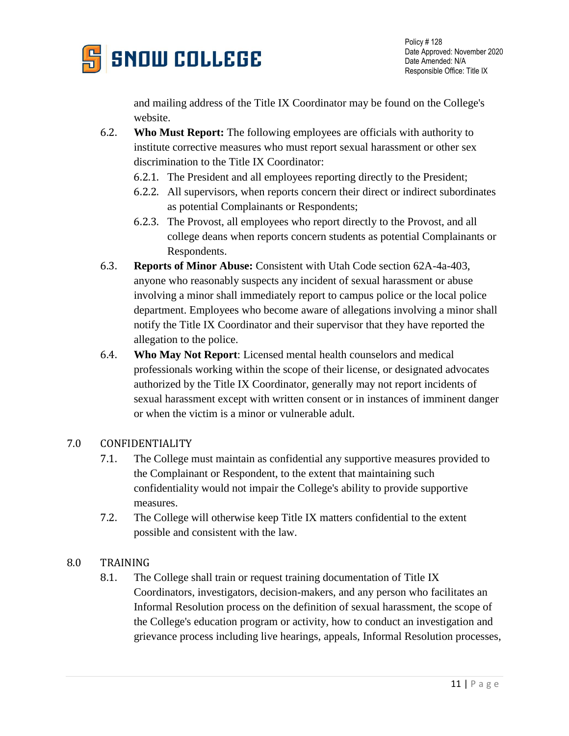

and mailing address of the Title IX Coordinator may be found on the College's website.

- 6.2. **Who Must Report:** The following employees are officials with authority to institute corrective measures who must report sexual harassment or other sex discrimination to the Title IX Coordinator:
	- 6.2.1. The President and all employees reporting directly to the President;
	- 6.2.2. All supervisors, when reports concern their direct or indirect subordinates as potential Complainants or Respondents;
	- 6.2.3. The Provost, all employees who report directly to the Provost, and all college deans when reports concern students as potential Complainants or Respondents.
- 6.3. **Reports of Minor Abuse:** Consistent with Utah Code section 62A-4a-403, anyone who reasonably suspects any incident of sexual harassment or abuse involving a minor shall immediately report to campus police or the local police department. Employees who become aware of allegations involving a minor shall notify the Title IX Coordinator and their supervisor that they have reported the allegation to the police.
- 6.4. **Who May Not Report**: Licensed mental health counselors and medical professionals working within the scope of their license, or designated advocates authorized by the Title IX Coordinator, generally may not report incidents of sexual harassment except with written consent or in instances of imminent danger or when the victim is a minor or vulnerable adult.

# 7.0 CONFIDENTIALITY

- 7.1. The College must maintain as confidential any supportive measures provided to the Complainant or Respondent, to the extent that maintaining such confidentiality would not impair the College's ability to provide supportive measures.
- 7.2. The College will otherwise keep Title IX matters confidential to the extent possible and consistent with the law.

### 8.0 TRAINING

8.1. The College shall train or request training documentation of Title IX Coordinators, investigators, decision-makers, and any person who facilitates an Informal Resolution process on the definition of sexual harassment, the scope of the College's education program or activity, how to conduct an investigation and grievance process including live hearings, appeals, Informal Resolution processes,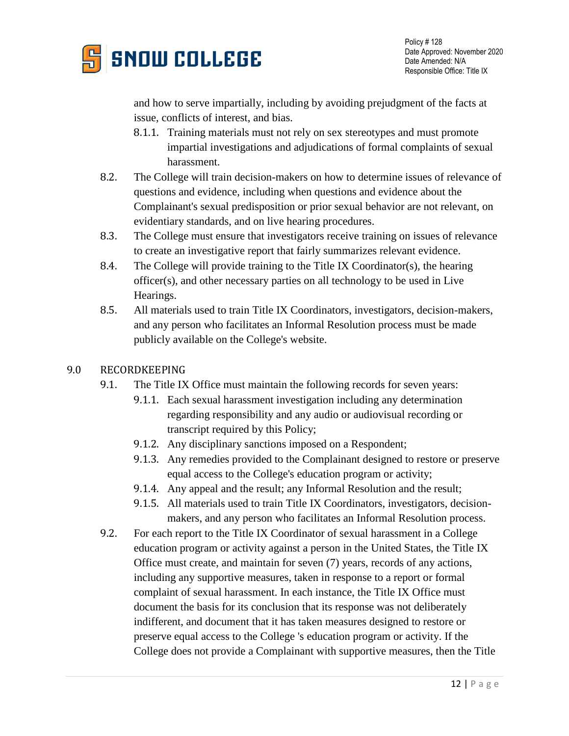

and how to serve impartially, including by avoiding prejudgment of the facts at issue, conflicts of interest, and bias.

- 8.1.1. Training materials must not rely on sex stereotypes and must promote impartial investigations and adjudications of formal complaints of sexual harassment.
- 8.2. The College will train decision-makers on how to determine issues of relevance of questions and evidence, including when questions and evidence about the Complainant's sexual predisposition or prior sexual behavior are not relevant, on evidentiary standards, and on live hearing procedures.
- 8.3. The College must ensure that investigators receive training on issues of relevance to create an investigative report that fairly summarizes relevant evidence.
- 8.4. The College will provide training to the Title IX Coordinator(s), the hearing officer(s), and other necessary parties on all technology to be used in Live Hearings.
- 8.5. All materials used to train Title IX Coordinators, investigators, decision-makers, and any person who facilitates an Informal Resolution process must be made publicly available on the College's website.

## 9.0 RECORDKEEPING

- 9.1. The Title IX Office must maintain the following records for seven years:
	- 9.1.1. Each sexual harassment investigation including any determination regarding responsibility and any audio or audiovisual recording or transcript required by this Policy;
	- 9.1.2. Any disciplinary sanctions imposed on a Respondent;
	- 9.1.3. Any remedies provided to the Complainant designed to restore or preserve equal access to the College's education program or activity;
	- 9.1.4. Any appeal and the result; any Informal Resolution and the result;
	- 9.1.5. All materials used to train Title IX Coordinators, investigators, decisionmakers, and any person who facilitates an Informal Resolution process.
- 9.2. For each report to the Title IX Coordinator of sexual harassment in a College education program or activity against a person in the United States, the Title IX Office must create, and maintain for seven (7) years, records of any actions, including any supportive measures, taken in response to a report or formal complaint of sexual harassment. In each instance, the Title IX Office must document the basis for its conclusion that its response was not deliberately indifferent, and document that it has taken measures designed to restore or preserve equal access to the College 's education program or activity. If the College does not provide a Complainant with supportive measures, then the Title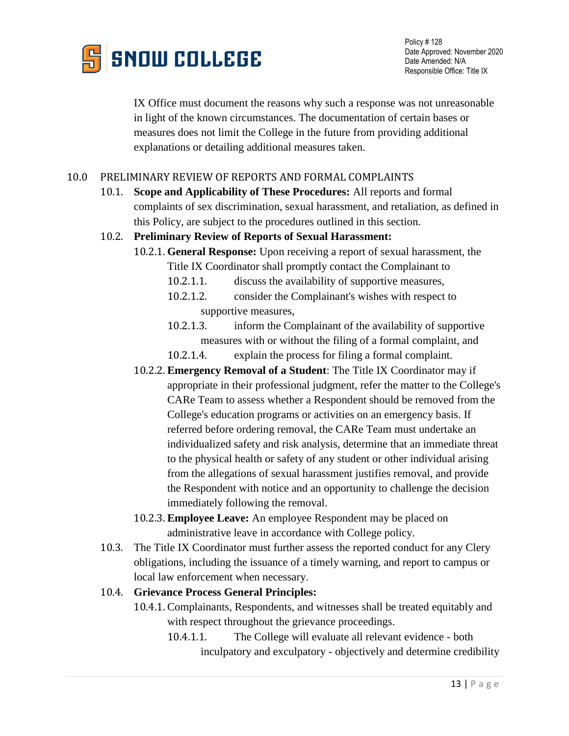

IX Office must document the reasons why such a response was not unreasonable in light of the known circumstances. The documentation of certain bases or measures does not limit the College in the future from providing additional explanations or detailing additional measures taken.

## 10.0 PRELIMINARY REVIEW OF REPORTS AND FORMAL COMPLAINTS

10.1. **Scope and Applicability of These Procedures:** All reports and formal complaints of sex discrimination, sexual harassment, and retaliation, as defined in this Policy, are subject to the procedures outlined in this section.

#### 10.2. **Preliminary Review of Reports of Sexual Harassment:**

- 10.2.1. **General Response:** Upon receiving a report of sexual harassment, the Title IX Coordinator shall promptly contact the Complainant to
	- 10.2.1.1. discuss the availability of supportive measures,
	- 10.2.1.2. consider the Complainant's wishes with respect to supportive measures,
	- 10.2.1.3. inform the Complainant of the availability of supportive measures with or without the filing of a formal complaint, and
	- 10.2.1.4. explain the process for filing a formal complaint.
- 10.2.2. **Emergency Removal of a Student**: The Title IX Coordinator may if appropriate in their professional judgment, refer the matter to the College's CARe Team to assess whether a Respondent should be removed from the College's education programs or activities on an emergency basis. If referred before ordering removal, the CARe Team must undertake an individualized safety and risk analysis, determine that an immediate threat to the physical health or safety of any student or other individual arising from the allegations of sexual harassment justifies removal, and provide the Respondent with notice and an opportunity to challenge the decision immediately following the removal.
- 10.2.3. **Employee Leave:** An employee Respondent may be placed on administrative leave in accordance with College policy.
- 10.3. The Title IX Coordinator must further assess the reported conduct for any Clery obligations, including the issuance of a timely warning, and report to campus or local law enforcement when necessary.

### 10.4. **Grievance Process General Principles:**

- 10.4.1. Complainants, Respondents, and witnesses shall be treated equitably and with respect throughout the grievance proceedings.
	- 10.4.1.1. The College will evaluate all relevant evidence both inculpatory and exculpatory - objectively and determine credibility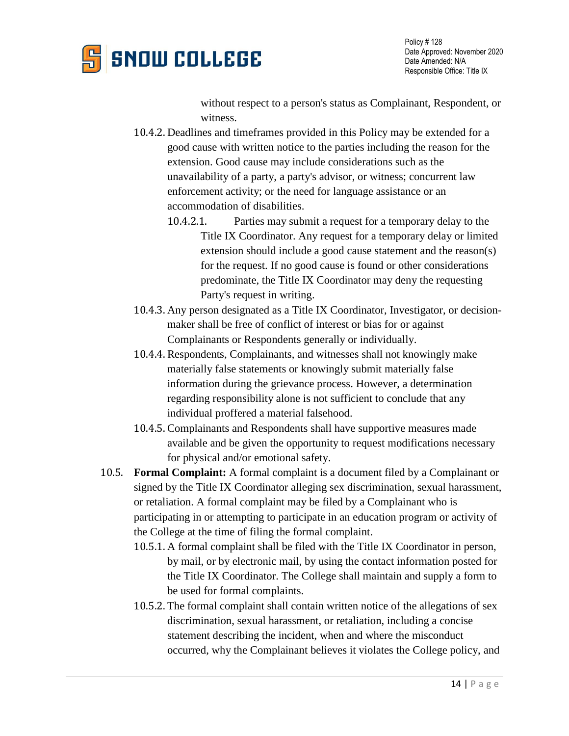

without respect to a person's status as Complainant, Respondent, or witness.

- 10.4.2. Deadlines and timeframes provided in this Policy may be extended for a good cause with written notice to the parties including the reason for the extension. Good cause may include considerations such as the unavailability of a party, a party's advisor, or witness; concurrent law enforcement activity; or the need for language assistance or an accommodation of disabilities.
	- 10.4.2.1. Parties may submit a request for a temporary delay to the Title IX Coordinator. Any request for a temporary delay or limited extension should include a good cause statement and the reason(s) for the request. If no good cause is found or other considerations predominate, the Title IX Coordinator may deny the requesting Party's request in writing.
- 10.4.3. Any person designated as a Title IX Coordinator, Investigator, or decisionmaker shall be free of conflict of interest or bias for or against Complainants or Respondents generally or individually.
- 10.4.4. Respondents, Complainants, and witnesses shall not knowingly make materially false statements or knowingly submit materially false information during the grievance process. However, a determination regarding responsibility alone is not sufficient to conclude that any individual proffered a material falsehood.
- 10.4.5. Complainants and Respondents shall have supportive measures made available and be given the opportunity to request modifications necessary for physical and/or emotional safety.
- 10.5. **Formal Complaint:** A formal complaint is a document filed by a Complainant or signed by the Title IX Coordinator alleging sex discrimination, sexual harassment, or retaliation. A formal complaint may be filed by a Complainant who is participating in or attempting to participate in an education program or activity of the College at the time of filing the formal complaint.
	- 10.5.1. A formal complaint shall be filed with the Title IX Coordinator in person, by mail, or by electronic mail, by using the contact information posted for the Title IX Coordinator. The College shall maintain and supply a form to be used for formal complaints.
	- 10.5.2. The formal complaint shall contain written notice of the allegations of sex discrimination, sexual harassment, or retaliation, including a concise statement describing the incident, when and where the misconduct occurred, why the Complainant believes it violates the College policy, and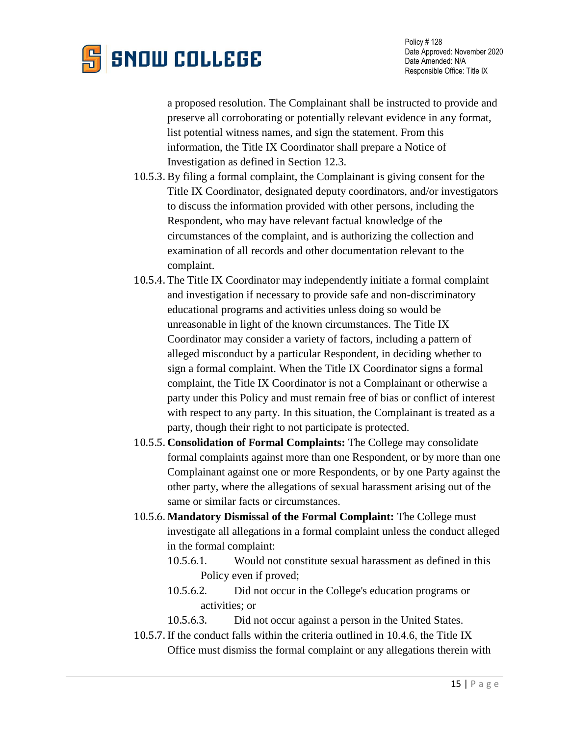

a proposed resolution. The Complainant shall be instructed to provide and preserve all corroborating or potentially relevant evidence in any format, list potential witness names, and sign the statement. From this information, the Title IX Coordinator shall prepare a Notice of Investigation as defined in Section 12.3.

- 10.5.3. By filing a formal complaint, the Complainant is giving consent for the Title IX Coordinator, designated deputy coordinators, and/or investigators to discuss the information provided with other persons, including the Respondent, who may have relevant factual knowledge of the circumstances of the complaint, and is authorizing the collection and examination of all records and other documentation relevant to the complaint.
- 10.5.4. The Title IX Coordinator may independently initiate a formal complaint and investigation if necessary to provide safe and non-discriminatory educational programs and activities unless doing so would be unreasonable in light of the known circumstances. The Title IX Coordinator may consider a variety of factors, including a pattern of alleged misconduct by a particular Respondent, in deciding whether to sign a formal complaint. When the Title IX Coordinator signs a formal complaint, the Title IX Coordinator is not a Complainant or otherwise a party under this Policy and must remain free of bias or conflict of interest with respect to any party. In this situation, the Complainant is treated as a party, though their right to not participate is protected.
- 10.5.5. **Consolidation of Formal Complaints:** The College may consolidate formal complaints against more than one Respondent, or by more than one Complainant against one or more Respondents, or by one Party against the other party, where the allegations of sexual harassment arising out of the same or similar facts or circumstances.
- 10.5.6. **Mandatory Dismissal of the Formal Complaint:** The College must investigate all allegations in a formal complaint unless the conduct alleged in the formal complaint:
	- 10.5.6.1. Would not constitute sexual harassment as defined in this Policy even if proved;
	- 10.5.6.2. Did not occur in the College's education programs or activities; or
	- 10.5.6.3. Did not occur against a person in the United States.
- 10.5.7. If the conduct falls within the criteria outlined in 10.4.6, the Title IX Office must dismiss the formal complaint or any allegations therein with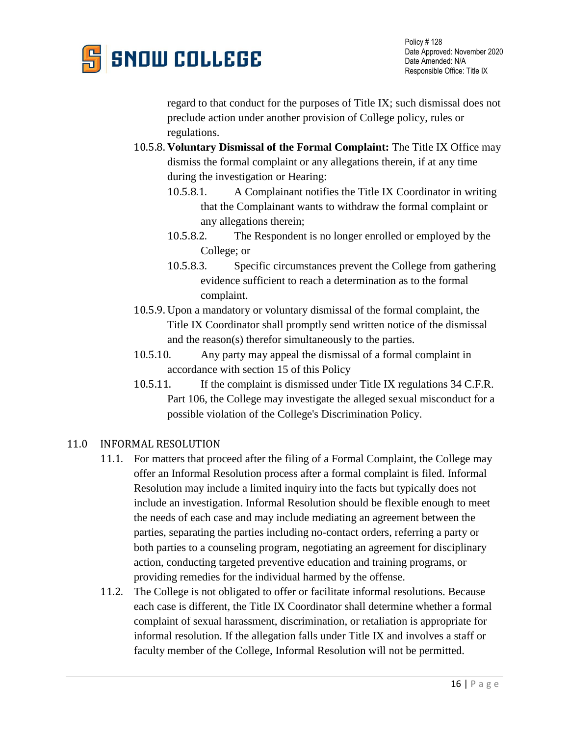

regard to that conduct for the purposes of Title IX; such dismissal does not preclude action under another provision of College policy, rules or regulations.

- 10.5.8. **Voluntary Dismissal of the Formal Complaint:** The Title IX Office may dismiss the formal complaint or any allegations therein, if at any time during the investigation or Hearing:
	- 10.5.8.1. A Complainant notifies the Title IX Coordinator in writing that the Complainant wants to withdraw the formal complaint or any allegations therein;
	- 10.5.8.2. The Respondent is no longer enrolled or employed by the College; or
	- 10.5.8.3. Specific circumstances prevent the College from gathering evidence sufficient to reach a determination as to the formal complaint.
- 10.5.9. Upon a mandatory or voluntary dismissal of the formal complaint, the Title IX Coordinator shall promptly send written notice of the dismissal and the reason(s) therefor simultaneously to the parties.
- 10.5.10. Any party may appeal the dismissal of a formal complaint in accordance with section 15 of this Policy
- 10.5.11. If the complaint is dismissed under Title IX regulations 34 C.F.R. Part 106, the College may investigate the alleged sexual misconduct for a possible violation of the College's Discrimination Policy.

### 11.0 INFORMAL RESOLUTION

- 11.1. For matters that proceed after the filing of a Formal Complaint, the College may offer an Informal Resolution process after a formal complaint is filed. Informal Resolution may include a limited inquiry into the facts but typically does not include an investigation. Informal Resolution should be flexible enough to meet the needs of each case and may include mediating an agreement between the parties, separating the parties including no-contact orders, referring a party or both parties to a counseling program, negotiating an agreement for disciplinary action, conducting targeted preventive education and training programs, or providing remedies for the individual harmed by the offense.
- 11.2. The College is not obligated to offer or facilitate informal resolutions. Because each case is different, the Title IX Coordinator shall determine whether a formal complaint of sexual harassment, discrimination, or retaliation is appropriate for informal resolution. If the allegation falls under Title IX and involves a staff or faculty member of the College, Informal Resolution will not be permitted.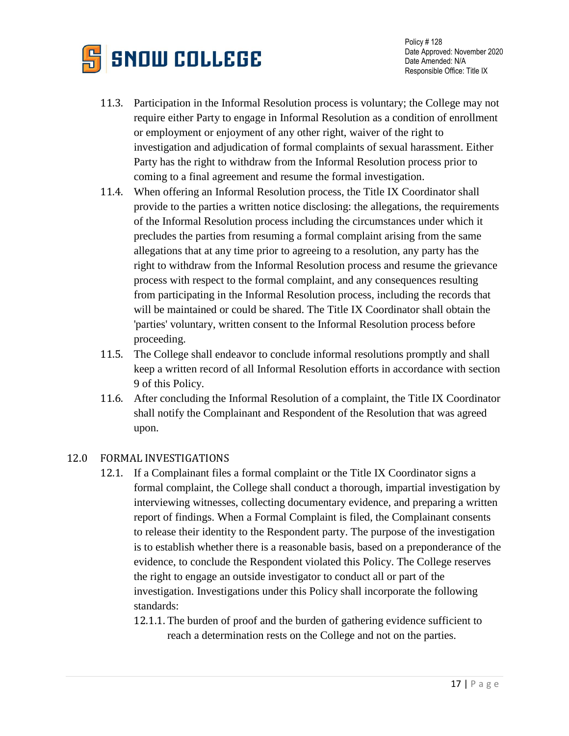

- 11.3. Participation in the Informal Resolution process is voluntary; the College may not require either Party to engage in Informal Resolution as a condition of enrollment or employment or enjoyment of any other right, waiver of the right to investigation and adjudication of formal complaints of sexual harassment. Either Party has the right to withdraw from the Informal Resolution process prior to coming to a final agreement and resume the formal investigation.
- 11.4. When offering an Informal Resolution process, the Title IX Coordinator shall provide to the parties a written notice disclosing: the allegations, the requirements of the Informal Resolution process including the circumstances under which it precludes the parties from resuming a formal complaint arising from the same allegations that at any time prior to agreeing to a resolution, any party has the right to withdraw from the Informal Resolution process and resume the grievance process with respect to the formal complaint, and any consequences resulting from participating in the Informal Resolution process, including the records that will be maintained or could be shared. The Title IX Coordinator shall obtain the 'parties' voluntary, written consent to the Informal Resolution process before proceeding.
- 11.5. The College shall endeavor to conclude informal resolutions promptly and shall keep a written record of all Informal Resolution efforts in accordance with section 9 of this Policy.
- 11.6. After concluding the Informal Resolution of a complaint, the Title IX Coordinator shall notify the Complainant and Respondent of the Resolution that was agreed upon.

#### 12.0 FORMAL INVESTIGATIONS

- 12.1. If a Complainant files a formal complaint or the Title IX Coordinator signs a formal complaint, the College shall conduct a thorough, impartial investigation by interviewing witnesses, collecting documentary evidence, and preparing a written report of findings. When a Formal Complaint is filed, the Complainant consents to release their identity to the Respondent party. The purpose of the investigation is to establish whether there is a reasonable basis, based on a preponderance of the evidence, to conclude the Respondent violated this Policy. The College reserves the right to engage an outside investigator to conduct all or part of the investigation. Investigations under this Policy shall incorporate the following standards:
	- 12.1.1. The burden of proof and the burden of gathering evidence sufficient to reach a determination rests on the College and not on the parties.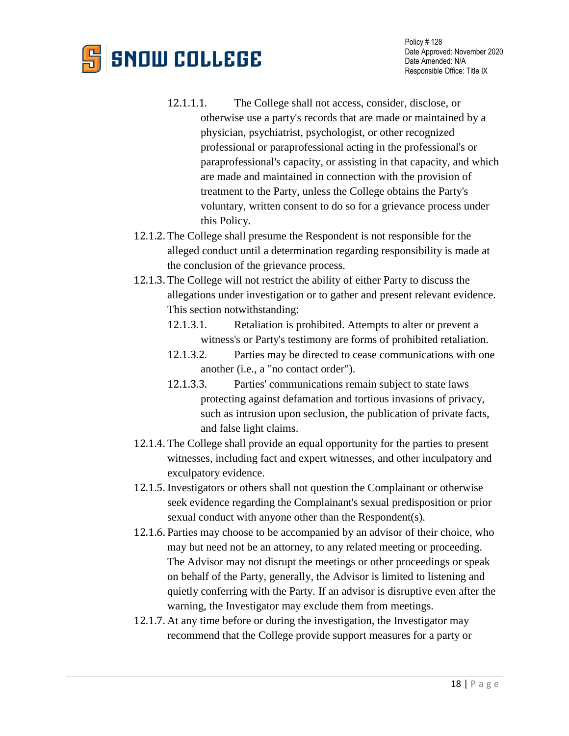# **SNOW COLLEGE**

- 12.1.1.1. The College shall not access, consider, disclose, or otherwise use a party's records that are made or maintained by a physician, psychiatrist, psychologist, or other recognized professional or paraprofessional acting in the professional's or paraprofessional's capacity, or assisting in that capacity, and which are made and maintained in connection with the provision of treatment to the Party, unless the College obtains the Party's voluntary, written consent to do so for a grievance process under this Policy.
- 12.1.2. The College shall presume the Respondent is not responsible for the alleged conduct until a determination regarding responsibility is made at the conclusion of the grievance process.
- 12.1.3. The College will not restrict the ability of either Party to discuss the allegations under investigation or to gather and present relevant evidence. This section notwithstanding:
	- 12.1.3.1. Retaliation is prohibited. Attempts to alter or prevent a witness's or Party's testimony are forms of prohibited retaliation.
	- 12.1.3.2. Parties may be directed to cease communications with one another (i.e., a "no contact order").
	- 12.1.3.3. Parties' communications remain subject to state laws protecting against defamation and tortious invasions of privacy, such as intrusion upon seclusion, the publication of private facts, and false light claims.
- 12.1.4. The College shall provide an equal opportunity for the parties to present witnesses, including fact and expert witnesses, and other inculpatory and exculpatory evidence.
- 12.1.5. Investigators or others shall not question the Complainant or otherwise seek evidence regarding the Complainant's sexual predisposition or prior sexual conduct with anyone other than the Respondent(s).
- 12.1.6. Parties may choose to be accompanied by an advisor of their choice, who may but need not be an attorney, to any related meeting or proceeding. The Advisor may not disrupt the meetings or other proceedings or speak on behalf of the Party, generally, the Advisor is limited to listening and quietly conferring with the Party. If an advisor is disruptive even after the warning, the Investigator may exclude them from meetings.
- 12.1.7. At any time before or during the investigation, the Investigator may recommend that the College provide support measures for a party or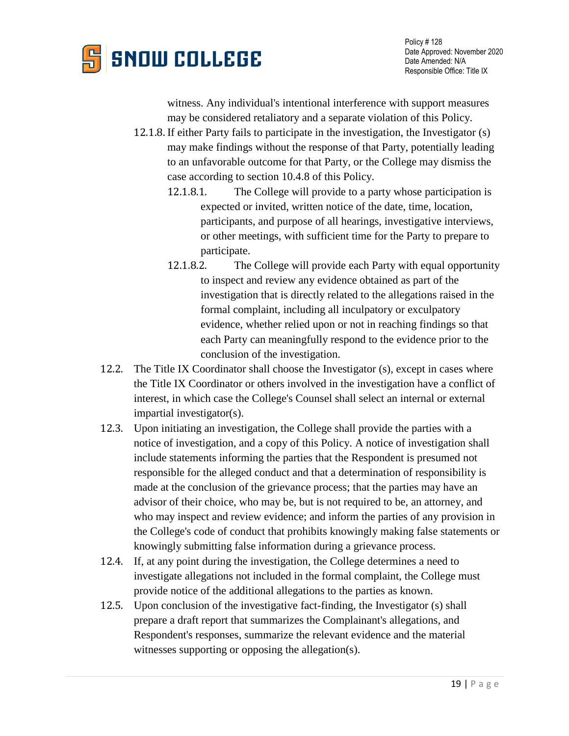

witness. Any individual's intentional interference with support measures may be considered retaliatory and a separate violation of this Policy.

- 12.1.8. If either Party fails to participate in the investigation, the Investigator (s) may make findings without the response of that Party, potentially leading to an unfavorable outcome for that Party, or the College may dismiss the case according to section 10.4.8 of this Policy.
	- 12.1.8.1. The College will provide to a party whose participation is expected or invited, written notice of the date, time, location, participants, and purpose of all hearings, investigative interviews, or other meetings, with sufficient time for the Party to prepare to participate.
	- 12.1.8.2. The College will provide each Party with equal opportunity to inspect and review any evidence obtained as part of the investigation that is directly related to the allegations raised in the formal complaint, including all inculpatory or exculpatory evidence, whether relied upon or not in reaching findings so that each Party can meaningfully respond to the evidence prior to the conclusion of the investigation.
- 12.2. The Title IX Coordinator shall choose the Investigator (s), except in cases where the Title IX Coordinator or others involved in the investigation have a conflict of interest, in which case the College's Counsel shall select an internal or external impartial investigator(s).
- 12.3. Upon initiating an investigation, the College shall provide the parties with a notice of investigation, and a copy of this Policy. A notice of investigation shall include statements informing the parties that the Respondent is presumed not responsible for the alleged conduct and that a determination of responsibility is made at the conclusion of the grievance process; that the parties may have an advisor of their choice, who may be, but is not required to be, an attorney, and who may inspect and review evidence; and inform the parties of any provision in the College's code of conduct that prohibits knowingly making false statements or knowingly submitting false information during a grievance process.
- 12.4. If, at any point during the investigation, the College determines a need to investigate allegations not included in the formal complaint, the College must provide notice of the additional allegations to the parties as known.
- 12.5. Upon conclusion of the investigative fact-finding, the Investigator (s) shall prepare a draft report that summarizes the Complainant's allegations, and Respondent's responses, summarize the relevant evidence and the material witnesses supporting or opposing the allegation(s).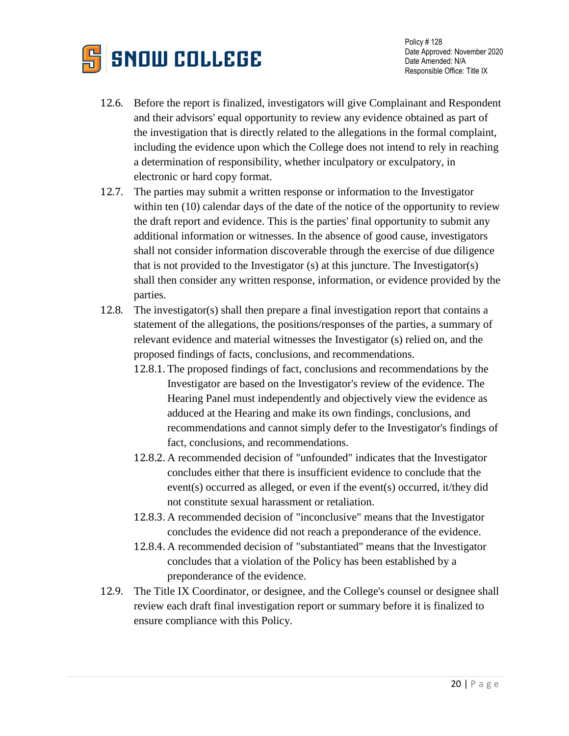

- 12.6. Before the report is finalized, investigators will give Complainant and Respondent and their advisors' equal opportunity to review any evidence obtained as part of the investigation that is directly related to the allegations in the formal complaint, including the evidence upon which the College does not intend to rely in reaching a determination of responsibility, whether inculpatory or exculpatory, in electronic or hard copy format.
- 12.7. The parties may submit a written response or information to the Investigator within ten (10) calendar days of the date of the notice of the opportunity to review the draft report and evidence. This is the parties' final opportunity to submit any additional information or witnesses. In the absence of good cause, investigators shall not consider information discoverable through the exercise of due diligence that is not provided to the Investigator (s) at this juncture. The Investigator(s) shall then consider any written response, information, or evidence provided by the parties.
- 12.8. The investigator(s) shall then prepare a final investigation report that contains a statement of the allegations, the positions/responses of the parties, a summary of relevant evidence and material witnesses the Investigator (s) relied on, and the proposed findings of facts, conclusions, and recommendations.
	- 12.8.1. The proposed findings of fact, conclusions and recommendations by the Investigator are based on the Investigator's review of the evidence. The Hearing Panel must independently and objectively view the evidence as adduced at the Hearing and make its own findings, conclusions, and recommendations and cannot simply defer to the Investigator's findings of fact, conclusions, and recommendations.
	- 12.8.2. A recommended decision of "unfounded" indicates that the Investigator concludes either that there is insufficient evidence to conclude that the event(s) occurred as alleged, or even if the event(s) occurred, it/they did not constitute sexual harassment or retaliation.
	- 12.8.3. A recommended decision of "inconclusive" means that the Investigator concludes the evidence did not reach a preponderance of the evidence.
	- 12.8.4. A recommended decision of "substantiated" means that the Investigator concludes that a violation of the Policy has been established by a preponderance of the evidence.
- 12.9. The Title IX Coordinator, or designee, and the College's counsel or designee shall review each draft final investigation report or summary before it is finalized to ensure compliance with this Policy.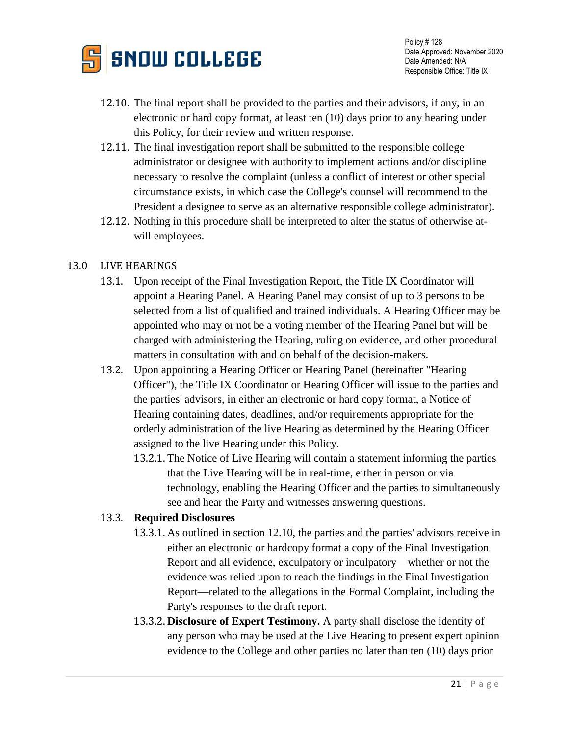

- 12.10. The final report shall be provided to the parties and their advisors, if any, in an electronic or hard copy format, at least ten (10) days prior to any hearing under this Policy, for their review and written response.
- 12.11. The final investigation report shall be submitted to the responsible college administrator or designee with authority to implement actions and/or discipline necessary to resolve the complaint (unless a conflict of interest or other special circumstance exists, in which case the College's counsel will recommend to the President a designee to serve as an alternative responsible college administrator).
- 12.12. Nothing in this procedure shall be interpreted to alter the status of otherwise atwill employees.

### 13.0 LIVE HEARINGS

- 13.1. Upon receipt of the Final Investigation Report, the Title IX Coordinator will appoint a Hearing Panel. A Hearing Panel may consist of up to 3 persons to be selected from a list of qualified and trained individuals. A Hearing Officer may be appointed who may or not be a voting member of the Hearing Panel but will be charged with administering the Hearing, ruling on evidence, and other procedural matters in consultation with and on behalf of the decision-makers.
- 13.2. Upon appointing a Hearing Officer or Hearing Panel (hereinafter "Hearing Officer"), the Title IX Coordinator or Hearing Officer will issue to the parties and the parties' advisors, in either an electronic or hard copy format, a Notice of Hearing containing dates, deadlines, and/or requirements appropriate for the orderly administration of the live Hearing as determined by the Hearing Officer assigned to the live Hearing under this Policy.
	- 13.2.1. The Notice of Live Hearing will contain a statement informing the parties that the Live Hearing will be in real-time, either in person or via technology, enabling the Hearing Officer and the parties to simultaneously see and hear the Party and witnesses answering questions.

### 13.3. **Required Disclosures**

- 13.3.1. As outlined in section 12.10, the parties and the parties' advisors receive in either an electronic or hardcopy format a copy of the Final Investigation Report and all evidence, exculpatory or inculpatory—whether or not the evidence was relied upon to reach the findings in the Final Investigation Report—related to the allegations in the Formal Complaint, including the Party's responses to the draft report.
- 13.3.2. **Disclosure of Expert Testimony.** A party shall disclose the identity of any person who may be used at the Live Hearing to present expert opinion evidence to the College and other parties no later than ten (10) days prior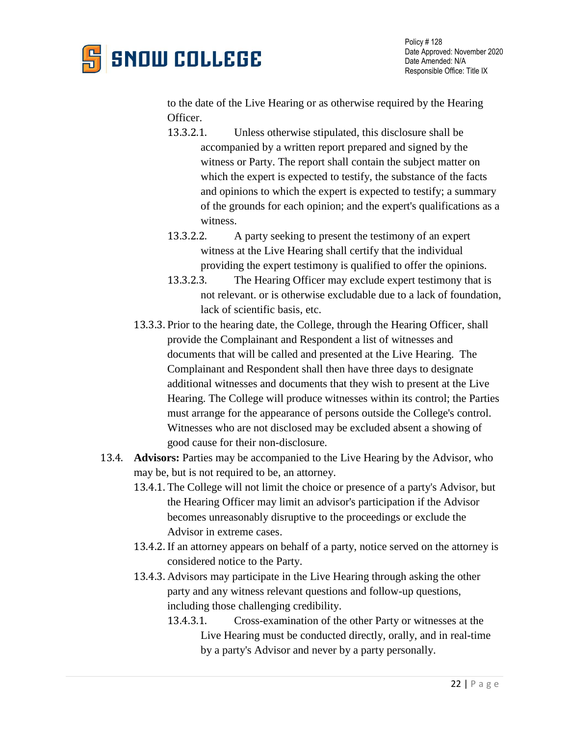

to the date of the Live Hearing or as otherwise required by the Hearing Officer.

- 13.3.2.1. Unless otherwise stipulated, this disclosure shall be accompanied by a written report prepared and signed by the witness or Party. The report shall contain the subject matter on which the expert is expected to testify, the substance of the facts and opinions to which the expert is expected to testify; a summary of the grounds for each opinion; and the expert's qualifications as a witness.
- 13.3.2.2. A party seeking to present the testimony of an expert witness at the Live Hearing shall certify that the individual providing the expert testimony is qualified to offer the opinions.
- 13.3.2.3. The Hearing Officer may exclude expert testimony that is not relevant. or is otherwise excludable due to a lack of foundation, lack of scientific basis, etc.
- 13.3.3. Prior to the hearing date, the College, through the Hearing Officer, shall provide the Complainant and Respondent a list of witnesses and documents that will be called and presented at the Live Hearing. The Complainant and Respondent shall then have three days to designate additional witnesses and documents that they wish to present at the Live Hearing. The College will produce witnesses within its control; the Parties must arrange for the appearance of persons outside the College's control. Witnesses who are not disclosed may be excluded absent a showing of good cause for their non-disclosure.
- 13.4. **Advisors:** Parties may be accompanied to the Live Hearing by the Advisor, who may be, but is not required to be, an attorney.
	- 13.4.1. The College will not limit the choice or presence of a party's Advisor, but the Hearing Officer may limit an advisor's participation if the Advisor becomes unreasonably disruptive to the proceedings or exclude the Advisor in extreme cases.
	- 13.4.2. If an attorney appears on behalf of a party, notice served on the attorney is considered notice to the Party.
	- 13.4.3. Advisors may participate in the Live Hearing through asking the other party and any witness relevant questions and follow-up questions, including those challenging credibility.
		- 13.4.3.1. Cross-examination of the other Party or witnesses at the Live Hearing must be conducted directly, orally, and in real-time by a party's Advisor and never by a party personally.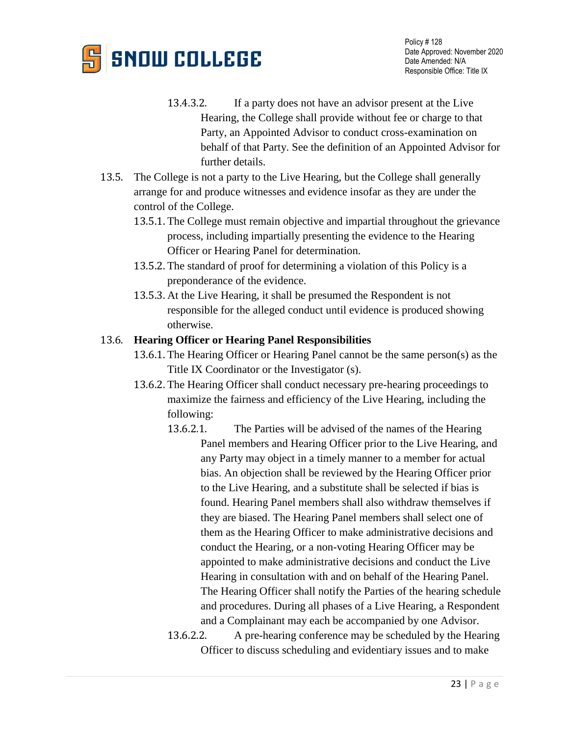

- 13.4.3.2. If a party does not have an advisor present at the Live Hearing, the College shall provide without fee or charge to that Party, an Appointed Advisor to conduct cross-examination on behalf of that Party. See the definition of an Appointed Advisor for further details.
- 13.5. The College is not a party to the Live Hearing, but the College shall generally arrange for and produce witnesses and evidence insofar as they are under the control of the College.
	- 13.5.1. The College must remain objective and impartial throughout the grievance process, including impartially presenting the evidence to the Hearing Officer or Hearing Panel for determination.
	- 13.5.2. The standard of proof for determining a violation of this Policy is a preponderance of the evidence.
	- 13.5.3. At the Live Hearing, it shall be presumed the Respondent is not responsible for the alleged conduct until evidence is produced showing otherwise.

### 13.6. **Hearing Officer or Hearing Panel Responsibilities**

- 13.6.1. The Hearing Officer or Hearing Panel cannot be the same person(s) as the Title IX Coordinator or the Investigator (s).
- 13.6.2. The Hearing Officer shall conduct necessary pre-hearing proceedings to maximize the fairness and efficiency of the Live Hearing, including the following:
	- 13.6.2.1. The Parties will be advised of the names of the Hearing Panel members and Hearing Officer prior to the Live Hearing, and any Party may object in a timely manner to a member for actual bias. An objection shall be reviewed by the Hearing Officer prior to the Live Hearing, and a substitute shall be selected if bias is found. Hearing Panel members shall also withdraw themselves if they are biased. The Hearing Panel members shall select one of them as the Hearing Officer to make administrative decisions and conduct the Hearing, or a non-voting Hearing Officer may be appointed to make administrative decisions and conduct the Live Hearing in consultation with and on behalf of the Hearing Panel. The Hearing Officer shall notify the Parties of the hearing schedule and procedures. During all phases of a Live Hearing, a Respondent and a Complainant may each be accompanied by one Advisor.
	- 13.6.2.2. A pre-hearing conference may be scheduled by the Hearing Officer to discuss scheduling and evidentiary issues and to make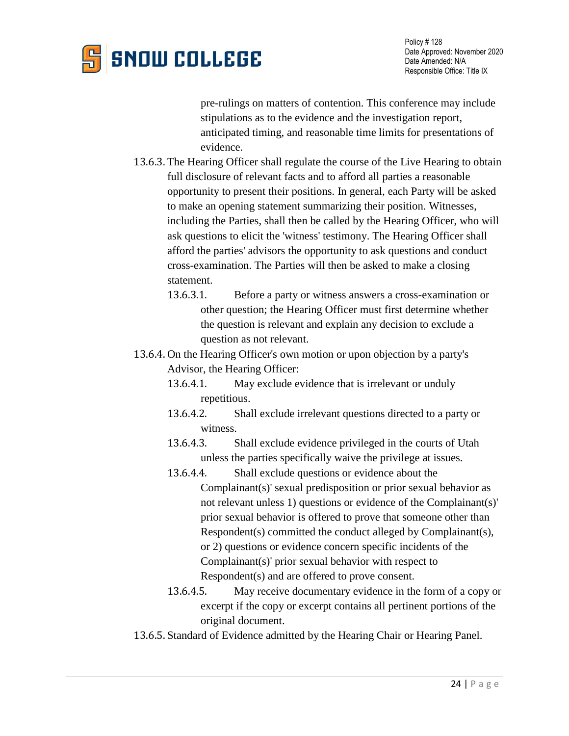

pre-rulings on matters of contention. This conference may include stipulations as to the evidence and the investigation report, anticipated timing, and reasonable time limits for presentations of evidence.

- 13.6.3. The Hearing Officer shall regulate the course of the Live Hearing to obtain full disclosure of relevant facts and to afford all parties a reasonable opportunity to present their positions. In general, each Party will be asked to make an opening statement summarizing their position. Witnesses, including the Parties, shall then be called by the Hearing Officer, who will ask questions to elicit the 'witness' testimony. The Hearing Officer shall afford the parties' advisors the opportunity to ask questions and conduct cross-examination. The Parties will then be asked to make a closing statement.
	- 13.6.3.1. Before a party or witness answers a cross-examination or other question; the Hearing Officer must first determine whether the question is relevant and explain any decision to exclude a question as not relevant.
- 13.6.4. On the Hearing Officer's own motion or upon objection by a party's Advisor, the Hearing Officer:
	- 13.6.4.1. May exclude evidence that is irrelevant or unduly repetitious.
	- 13.6.4.2. Shall exclude irrelevant questions directed to a party or witness.
	- 13.6.4.3. Shall exclude evidence privileged in the courts of Utah unless the parties specifically waive the privilege at issues.
	- 13.6.4.4. Shall exclude questions or evidence about the Complainant(s)' sexual predisposition or prior sexual behavior as not relevant unless 1) questions or evidence of the Complainant(s)' prior sexual behavior is offered to prove that someone other than Respondent(s) committed the conduct alleged by Complainant(s), or 2) questions or evidence concern specific incidents of the Complainant(s)' prior sexual behavior with respect to Respondent(s) and are offered to prove consent.
	- 13.6.4.5. May receive documentary evidence in the form of a copy or excerpt if the copy or excerpt contains all pertinent portions of the original document.
- 13.6.5. Standard of Evidence admitted by the Hearing Chair or Hearing Panel.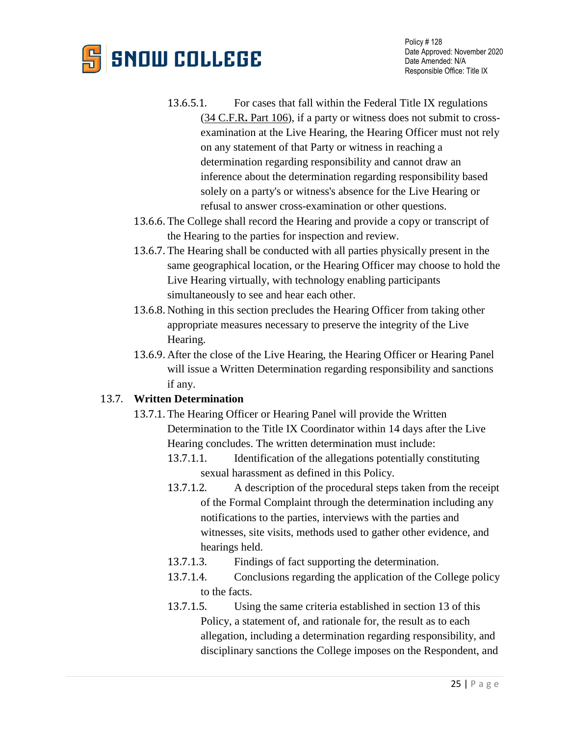# **SNOW COLLEGE**

- 13.6.5.1. For cases that fall within the Federal Title IX regulations (34 C.F.R**.** [Part 106\)](https://www2.ed.gov/policy/rights/reg/ocr/edlite-34cfr106.html), if a party or witness does not submit to crossexamination at the Live Hearing, the Hearing Officer must not rely on any statement of that Party or witness in reaching a determination regarding responsibility and cannot draw an inference about the determination regarding responsibility based solely on a party's or witness's absence for the Live Hearing or refusal to answer cross-examination or other questions.
- 13.6.6. The College shall record the Hearing and provide a copy or transcript of the Hearing to the parties for inspection and review.
- 13.6.7. The Hearing shall be conducted with all parties physically present in the same geographical location, or the Hearing Officer may choose to hold the Live Hearing virtually, with technology enabling participants simultaneously to see and hear each other.
- 13.6.8. Nothing in this section precludes the Hearing Officer from taking other appropriate measures necessary to preserve the integrity of the Live Hearing.
- 13.6.9. After the close of the Live Hearing, the Hearing Officer or Hearing Panel will issue a Written Determination regarding responsibility and sanctions if any.

### 13.7. **Written Determination**

- 13.7.1. The Hearing Officer or Hearing Panel will provide the Written Determination to the Title IX Coordinator within 14 days after the Live Hearing concludes. The written determination must include:
	- 13.7.1.1. Identification of the allegations potentially constituting sexual harassment as defined in this Policy.
	- 13.7.1.2. A description of the procedural steps taken from the receipt of the Formal Complaint through the determination including any notifications to the parties, interviews with the parties and witnesses, site visits, methods used to gather other evidence, and hearings held.
	- 13.7.1.3. Findings of fact supporting the determination.
	- 13.7.1.4. Conclusions regarding the application of the College policy to the facts.
	- 13.7.1.5. Using the same criteria established in section 13 of this Policy, a statement of, and rationale for, the result as to each allegation, including a determination regarding responsibility, and disciplinary sanctions the College imposes on the Respondent, and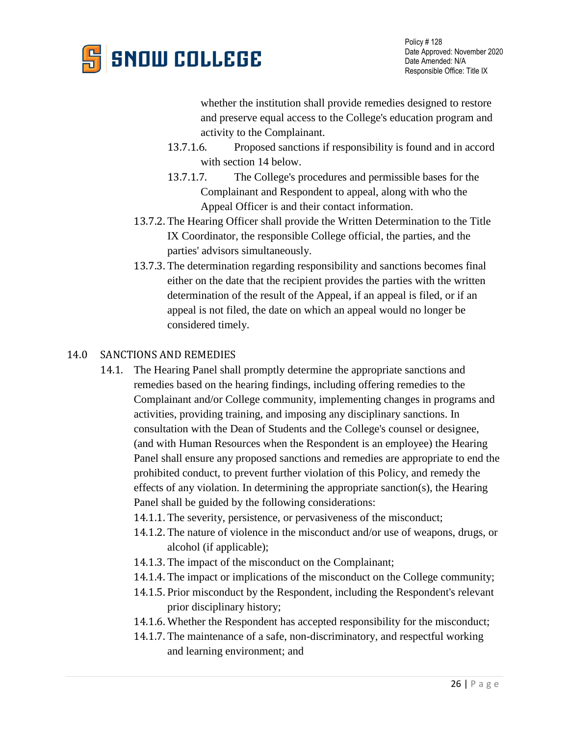

whether the institution shall provide remedies designed to restore and preserve equal access to the College's education program and activity to the Complainant.

- 13.7.1.6. Proposed sanctions if responsibility is found and in accord with section 14 below.
- 13.7.1.7. The College's procedures and permissible bases for the Complainant and Respondent to appeal, along with who the Appeal Officer is and their contact information.
- 13.7.2. The Hearing Officer shall provide the Written Determination to the Title IX Coordinator, the responsible College official, the parties, and the parties' advisors simultaneously.
- 13.7.3. The determination regarding responsibility and sanctions becomes final either on the date that the recipient provides the parties with the written determination of the result of the Appeal, if an appeal is filed, or if an appeal is not filed, the date on which an appeal would no longer be considered timely.

#### 14.0 SANCTIONS AND REMEDIES

- 14.1. The Hearing Panel shall promptly determine the appropriate sanctions and remedies based on the hearing findings, including offering remedies to the Complainant and/or College community, implementing changes in programs and activities, providing training, and imposing any disciplinary sanctions. In consultation with the Dean of Students and the College's counsel or designee, (and with Human Resources when the Respondent is an employee) the Hearing Panel shall ensure any proposed sanctions and remedies are appropriate to end the prohibited conduct, to prevent further violation of this Policy, and remedy the effects of any violation. In determining the appropriate sanction(s), the Hearing Panel shall be guided by the following considerations:
	- 14.1.1. The severity, persistence, or pervasiveness of the misconduct;
	- 14.1.2. The nature of violence in the misconduct and/or use of weapons, drugs, or alcohol (if applicable);
	- 14.1.3. The impact of the misconduct on the Complainant;
	- 14.1.4. The impact or implications of the misconduct on the College community;
	- 14.1.5. Prior misconduct by the Respondent, including the Respondent's relevant prior disciplinary history;
	- 14.1.6. Whether the Respondent has accepted responsibility for the misconduct;
	- 14.1.7. The maintenance of a safe, non-discriminatory, and respectful working and learning environment; and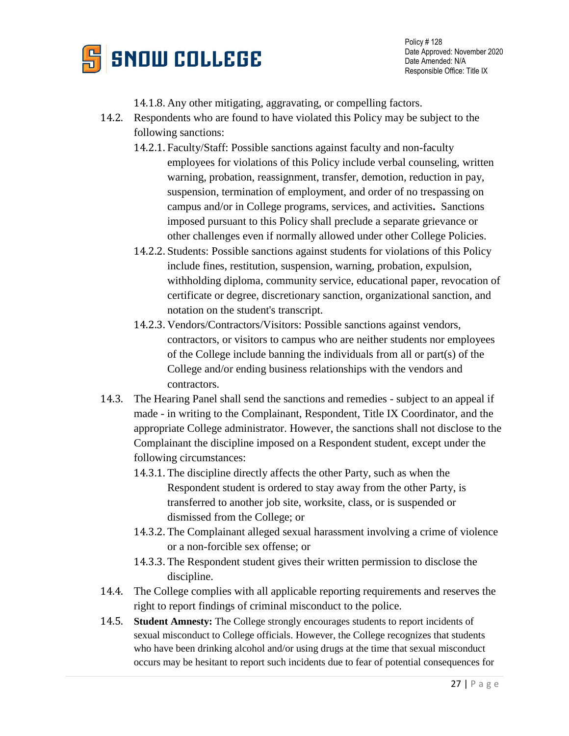

Policy # 128 Date Approved: November 2020 Date Amended: N/A Responsible Office: Title IX

- 14.1.8. Any other mitigating, aggravating, or compelling factors.
- 14.2. Respondents who are found to have violated this Policy may be subject to the following sanctions:
	- 14.2.1. Faculty/Staff: Possible sanctions against faculty and non-faculty employees for violations of this Policy include verbal counseling, written warning, probation, reassignment, transfer, demotion, reduction in pay, suspension, termination of employment, and order of no trespassing on campus and/or in College programs, services, and activities**.** Sanctions imposed pursuant to this Policy shall preclude a separate grievance or other challenges even if normally allowed under other College Policies.
	- 14.2.2. Students: Possible sanctions against students for violations of this Policy include fines, restitution, suspension, warning, probation, expulsion, withholding diploma, community service, educational paper, revocation of certificate or degree, discretionary sanction, organizational sanction, and notation on the student's transcript.
	- 14.2.3. Vendors/Contractors/Visitors: Possible sanctions against vendors, contractors, or visitors to campus who are neither students nor employees of the College include banning the individuals from all or part(s) of the College and/or ending business relationships with the vendors and contractors.
- 14.3. The Hearing Panel shall send the sanctions and remedies subject to an appeal if made - in writing to the Complainant, Respondent, Title IX Coordinator, and the appropriate College administrator. However, the sanctions shall not disclose to the Complainant the discipline imposed on a Respondent student, except under the following circumstances:
	- 14.3.1. The discipline directly affects the other Party, such as when the Respondent student is ordered to stay away from the other Party, is transferred to another job site, worksite, class, or is suspended or dismissed from the College; or
	- 14.3.2. The Complainant alleged sexual harassment involving a crime of violence or a non-forcible sex offense; or
	- 14.3.3. The Respondent student gives their written permission to disclose the discipline.
- 14.4. The College complies with all applicable reporting requirements and reserves the right to report findings of criminal misconduct to the police.
- 14.5. **Student Amnesty:** The College strongly encourages students to report incidents of sexual misconduct to College officials. However, the College recognizes that students who have been drinking alcohol and/or using drugs at the time that sexual misconduct occurs may be hesitant to report such incidents due to fear of potential consequences for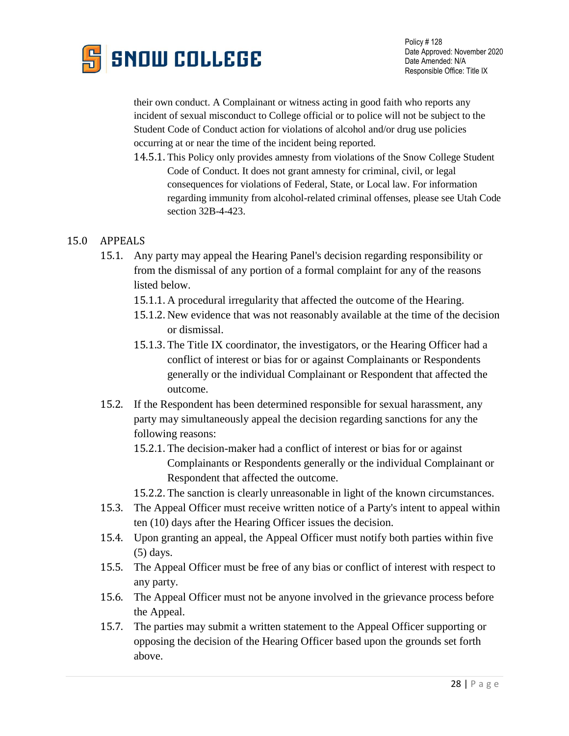

their own conduct. A Complainant or witness acting in good faith who reports any incident of sexual misconduct to College official or to police will not be subject to the Student Code of Conduct action for violations of alcohol and/or drug use policies occurring at or near the time of the incident being reported.

14.5.1. This Policy only provides amnesty from violations of the Snow College Student Code of Conduct. It does not grant amnesty for criminal, civil, or legal consequences for violations of Federal, State, or Local law. For information regarding immunity from alcohol-related criminal offenses, please see Utah Code section 32B-4-423.

### 15.0 APPEALS

- 15.1. Any party may appeal the Hearing Panel's decision regarding responsibility or from the dismissal of any portion of a formal complaint for any of the reasons listed below.
	- 15.1.1. A procedural irregularity that affected the outcome of the Hearing.
	- 15.1.2. New evidence that was not reasonably available at the time of the decision or dismissal.
	- 15.1.3. The Title IX coordinator, the investigators, or the Hearing Officer had a conflict of interest or bias for or against Complainants or Respondents generally or the individual Complainant or Respondent that affected the outcome.
- 15.2. If the Respondent has been determined responsible for sexual harassment, any party may simultaneously appeal the decision regarding sanctions for any the following reasons:
	- 15.2.1. The decision-maker had a conflict of interest or bias for or against Complainants or Respondents generally or the individual Complainant or Respondent that affected the outcome.

15.2.2. The sanction is clearly unreasonable in light of the known circumstances.

- 15.3. The Appeal Officer must receive written notice of a Party's intent to appeal within ten (10) days after the Hearing Officer issues the decision.
- 15.4. Upon granting an appeal, the Appeal Officer must notify both parties within five (5) days.
- 15.5. The Appeal Officer must be free of any bias or conflict of interest with respect to any party.
- 15.6. The Appeal Officer must not be anyone involved in the grievance process before the Appeal.
- 15.7. The parties may submit a written statement to the Appeal Officer supporting or opposing the decision of the Hearing Officer based upon the grounds set forth above.